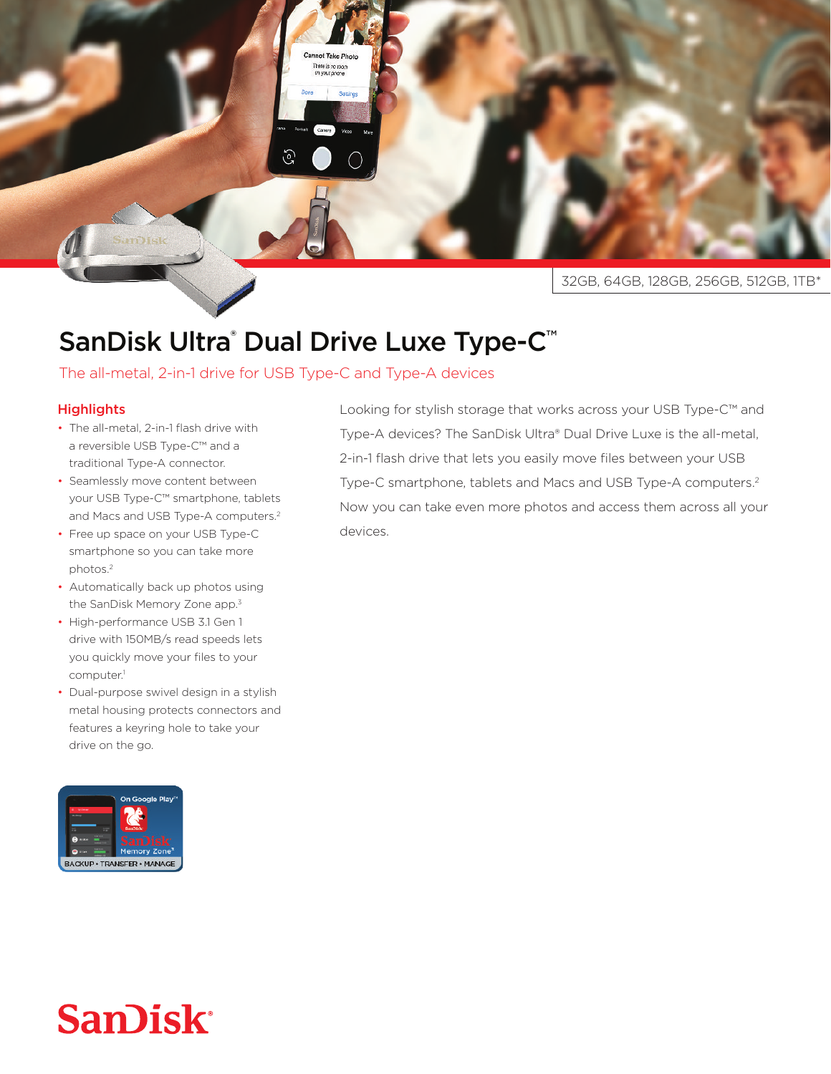

## SanDisk Ultra® Dual Drive Luxe Type-C™

Cannot Take Photo There is no room<br>on your phone

## The all-metal, 2-in-1 drive for USB Type-C and Type-A devices

## **Highlights**

- The all-metal, 2-in-1 flash drive with a reversible USB Type-C™ and a traditional Type-A connector.
- Seamlessly move content between your USB Type-C™ smartphone, tablets and Macs and USB Type-A computers.<sup>2</sup>
- Free up space on your USB Type-C smartphone so you can take more photos.<sup>2</sup>
- Automatically back up photos using the SanDisk Memory Zone app.<sup>3</sup>
- High-performance USB 3.1 Gen 1 drive with 150MB/s read speeds lets you quickly move your files to your computer.<sup>1</sup>
- Dual-purpose swivel design in a stylish metal housing protects connectors and features a keyring hole to take your drive on the go.



Looking for stylish storage that works across your USB Type-C™ and Type-A devices? The SanDisk Ultra® Dual Drive Luxe is the all-metal, 2-in-1 flash drive that lets you easily move files between your USB Type-C smartphone, tablets and Macs and USB Type-A computers.<sup>2</sup> Now you can take even more photos and access them across all your devices.

## **SanDisk®**